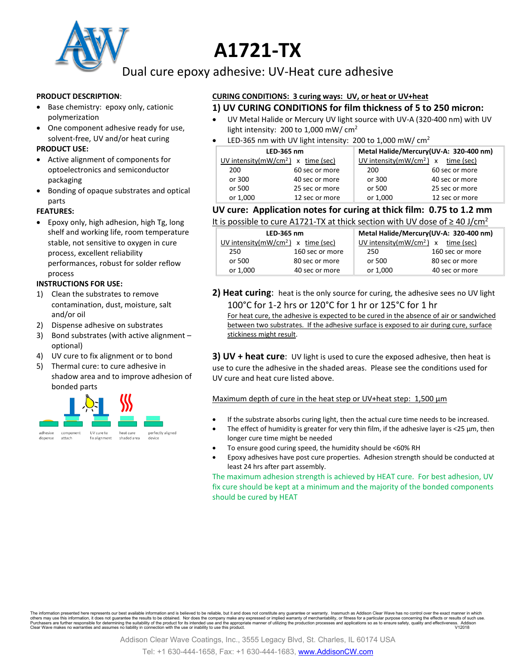

# **A1721-TX**

Dual cure epoxy adhesive: UV-Heat cure adhesive

#### **PRODUCT DESCRIPTION**:

- Base chemistry: epoxy only, cationic polymerization
- One component adhesive ready for use, solvent-free, UV and/or heat curing

### **PRODUCT USE:**

- Active alignment of components for optoelectronics and semiconductor packaging
- Bonding of opaque substrates and optical parts

### **FEATURES:**

• Epoxy only, high adhesion, high Tg, long shelf and working life, room temperature stable, not sensitive to oxygen in cure process, excellent reliability performances, robust for solder reflow process

#### **INSTRUCTIONS FOR USE:**

- 1) Clean the substrates to remove contamination, dust, moisture, salt and/or oil
- 2) Dispense adhesive on substrates
- 3) Bond substrates (with active alignment optional)
- 4) UV cure to fix alignment or to bond
- 5) Thermal cure: to cure adhesive in shadow area and to improve adhesion of bonded parts



### **CURING CONDITIONS: 3 curing ways: UV, or heat or UV+heat 1) UV CURING CONDITIONS for film thickness of 5 to 250 micron:**

- UV Metal Halide or Mercury UV light source with UV-A (320-400 nm) with UV light intensity: 200 to 1,000 mW/ cm<sup>2</sup>
- LED-365 nm with UV light intensity: 200 to 1,000 mW/  $cm<sup>2</sup>$

| LED-365 nm |                                       | Metal Halide/Mercury(UV-A: 320-400 nm) |                                       |
|------------|---------------------------------------|----------------------------------------|---------------------------------------|
|            | UV intensity( $mW/cm2$ ) x time (sec) |                                        | UV intensity( $mW/cm2$ ) x time (sec) |
| 200        | 60 sec or more                        | 200                                    | 60 sec or more                        |
| or 300     | 40 sec or more                        | or 300                                 | 40 sec or more                        |
| or 500     | 25 sec or more                        | or 500                                 | 25 sec or more                        |
| or 1,000   | 12 sec or more                        | or 1,000                               | 12 sec or more                        |

## **UV cure: Application notes for curing at thick film: 0.75 to 1.2 mm**

| LED-365 nm                           |                 | Metal Halide/Mercury(UV-A: 320-400 nm) |                 |
|--------------------------------------|-----------------|----------------------------------------|-----------------|
| UV intensity $(mW/cm2)$ x time (sec) |                 | UV intensity $(mW/cm2)$ x time (sec)   |                 |
| 250                                  | 160 sec or more | 250                                    | 160 sec or more |
| or 500                               | 80 sec or more  | or 500                                 | 80 sec or more  |
| or 1,000                             | 40 sec or more  | or 1,000                               | 40 sec or more  |

**2) Heat curing**: heat is the only source for curing, the adhesive sees no UV light 100°C for 1-2 hrs or 120°C for 1 hr or 125°C for 1 hr

For heat cure, the adhesive is expected to be cured in the absence of air or sandwiched between two substrates. If the adhesive surface is exposed to air during cure, surface stickiness might result.

**3) UV + heat cure**: UV light is used to cure the exposed adhesive, then heat is use to cure the adhesive in the shaded areas. Please see the conditions used for UV cure and heat cure listed above.

Maximum depth of cure in the heat step or UV+heat step: 1,500  $\mu$ m

- If the substrate absorbs curing light, then the actual cure time needs to be increased.
	- The effect of humidity is greater for very thin film, if the adhesive layer is <25 µm, then longer cure time might be needed
- To ensure good curing speed, the humidity should be <60% RH
- Epoxy adhesives have post cure properties. Adhesion strength should be conducted at least 24 hrs after part assembly.

The maximum adhesion strength is achieved by HEAT cure. For best adhesion, UV fix cure should be kept at a minimum and the majority of the bonded components should be cured by HEAT

The information presented here represents our best available information and is believed to be reliable, but it and does not constitute any guarantee or warranty. Inasmuch as Addison Clear Wave has no control over the exac